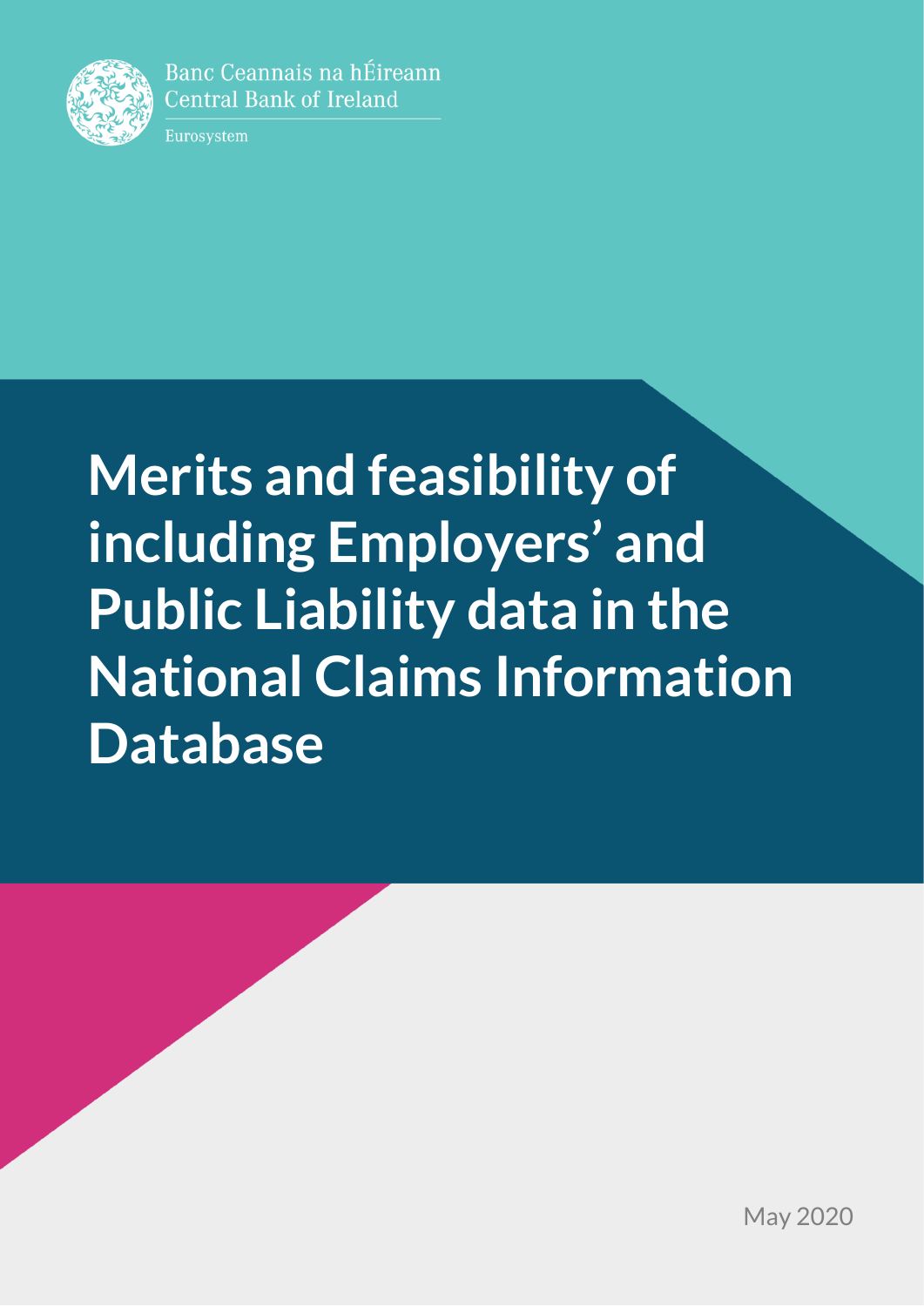

Banc Ceannais na hÉireann **Central Bank of Ireland** 

Eurosystem

# **Merits and feasibility of including Employers' and Public Liability data in the National Claims Information Database**

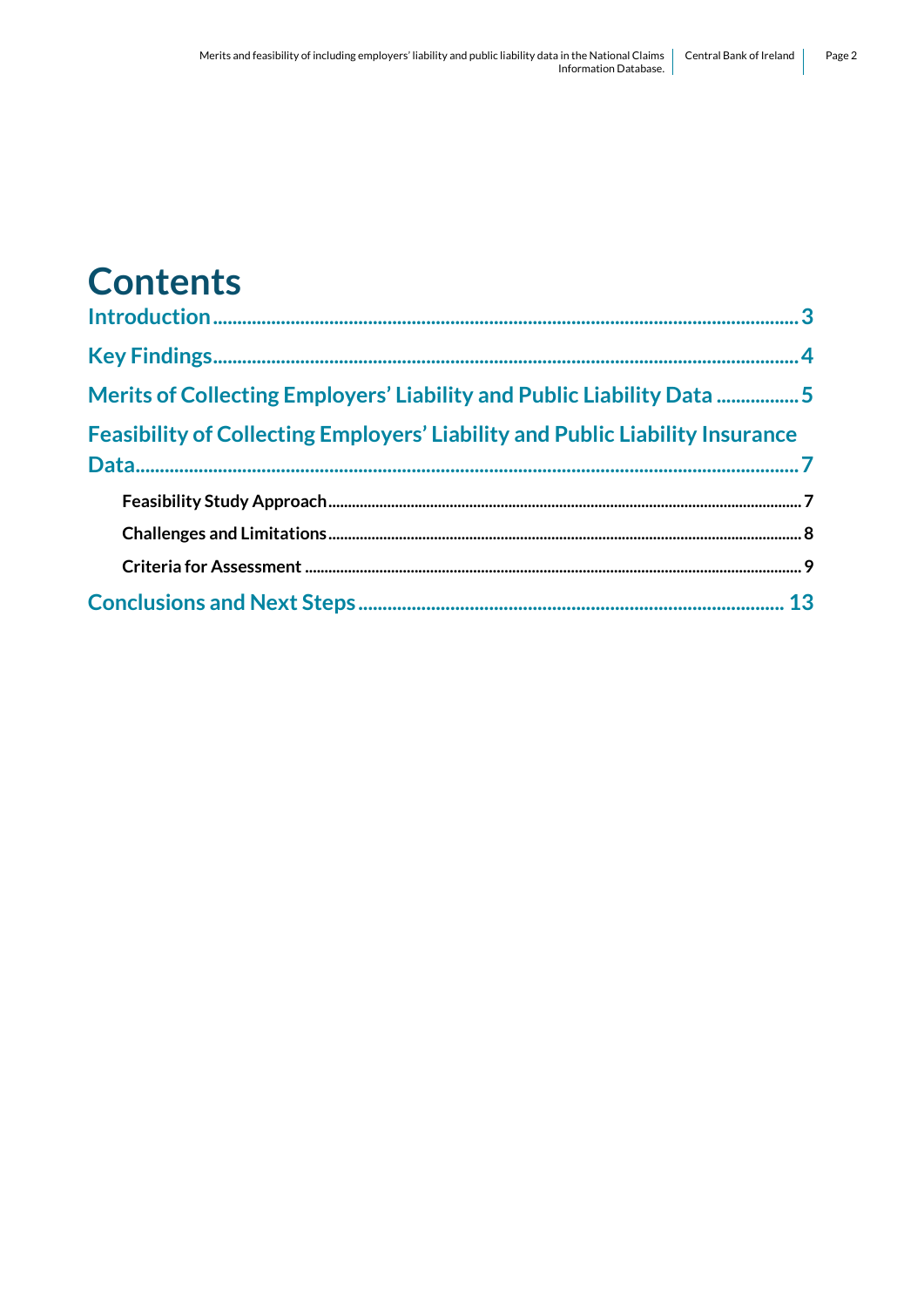# **Contents**

| Merits of Collecting Employers' Liability and Public Liability Data 5                |
|--------------------------------------------------------------------------------------|
| <b>Feasibility of Collecting Employers' Liability and Public Liability Insurance</b> |
|                                                                                      |
|                                                                                      |
|                                                                                      |
|                                                                                      |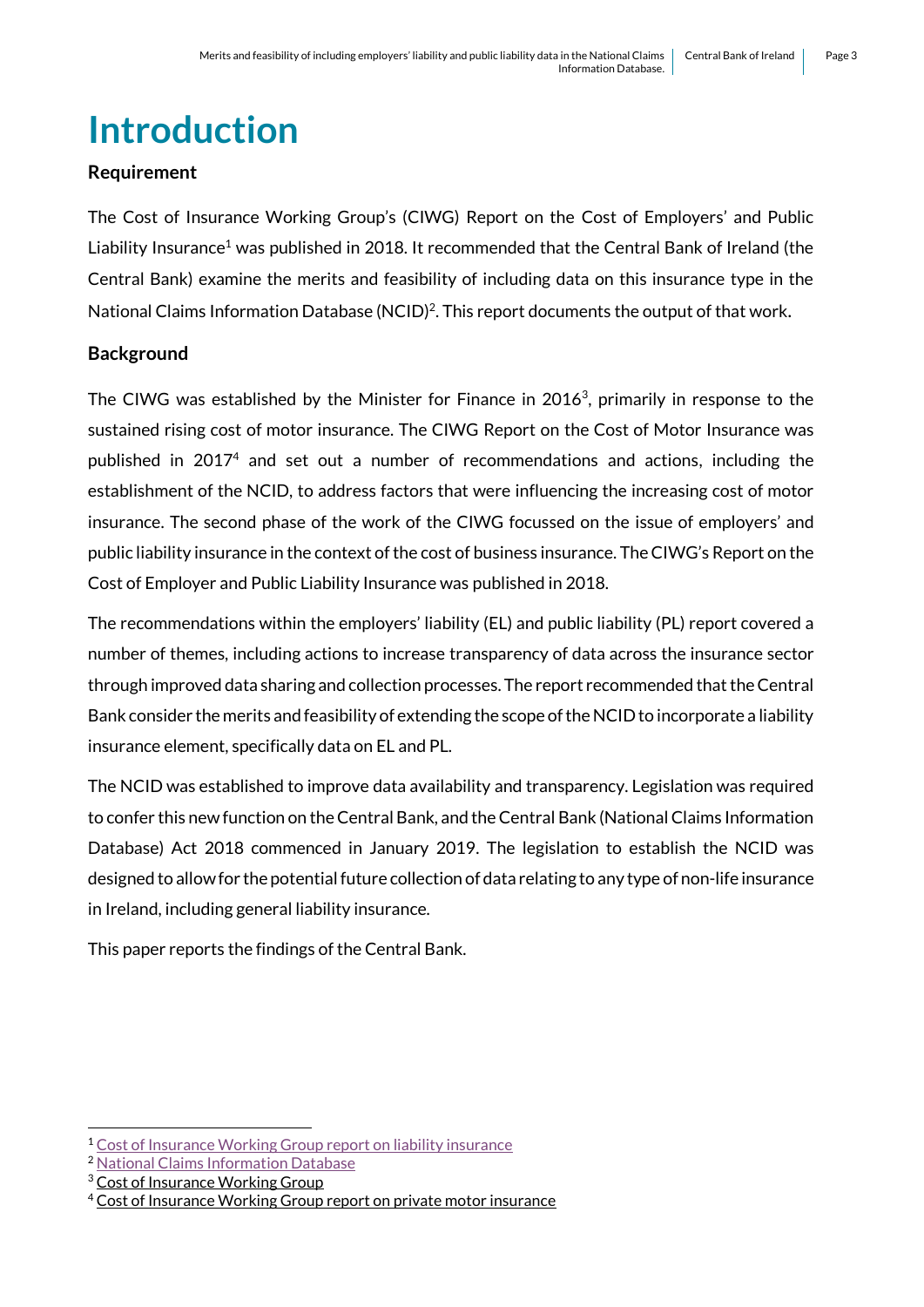# <span id="page-2-0"></span>**Introduction**

### **Requirement**

The Cost of Insurance Working Group's (CIWG) Report on the Cost of Employers' and Public Liability Insurance<sup>1</sup> was published in 2018. It recommended that the Central Bank of Ireland (the Central Bank) examine the merits and feasibility of including data on this insurance type in the National Claims Information Database (NCID)<sup>2</sup>. This report documents the output of that work.

# **Background**

The CIWG was established by the Minister for Finance in 2016<sup>3</sup>, primarily in response to the sustained rising cost of motor insurance. The CIWG Report on the Cost of Motor Insurance was published in 2017<sup>4</sup> and set out a number of recommendations and actions, including the establishment of the NCID, to address factors that were influencing the increasing cost of motor insurance. The second phase of the work of the CIWG focussed on the issue of employers' and public liability insurance in the context of the cost of business insurance. The CIWG's Report on the Cost of Employer and Public Liability Insurance was published in 2018.

The recommendations within the employers' liability (EL) and public liability (PL) report covered a number of themes, including actions to increase transparency of data across the insurance sector through improved data sharing and collection processes. The report recommended that the Central Bank consider the merits and feasibility of extending the scope of the NCID to incorporate a liability insurance element, specifically data on EL and PL.

The NCID was established to improve data availability and transparency. Legislation was required to confer this new function on the Central Bank, and the Central Bank (National Claims Information Database) Act 2018 commenced in January 2019. The legislation to establish the NCID was designed to allow for the potential future collection of data relating to any type of non-life insurance in Ireland, including general liability insurance.

This paper reports the findings of the Central Bank.

<sup>1</sup> <sup>1</sup> [Cost of Insurance Working Group report on liability insurance](https://assets.gov.ie/6256/060219173306-502d0dda6b644e7db5d019dd44ac49b6.pdf)

<sup>2</sup> [National Claims Information Database](https://www.centralbank.ie/statistics/data-and-analysis/national-claims-information-database)

<sup>&</sup>lt;sup>3</sup> [Cost of Insurance Working Group](https://www.finance.gov.ie/what-we-do/insurance/the-cost-of-insurance-working-group/)

<sup>&</sup>lt;sup>4</sup> [Cost of Insurance Working Group report on private motor insurance](https://www.gov.ie/en/publication/466182-report-on-the-cost-of-motor-insurance/)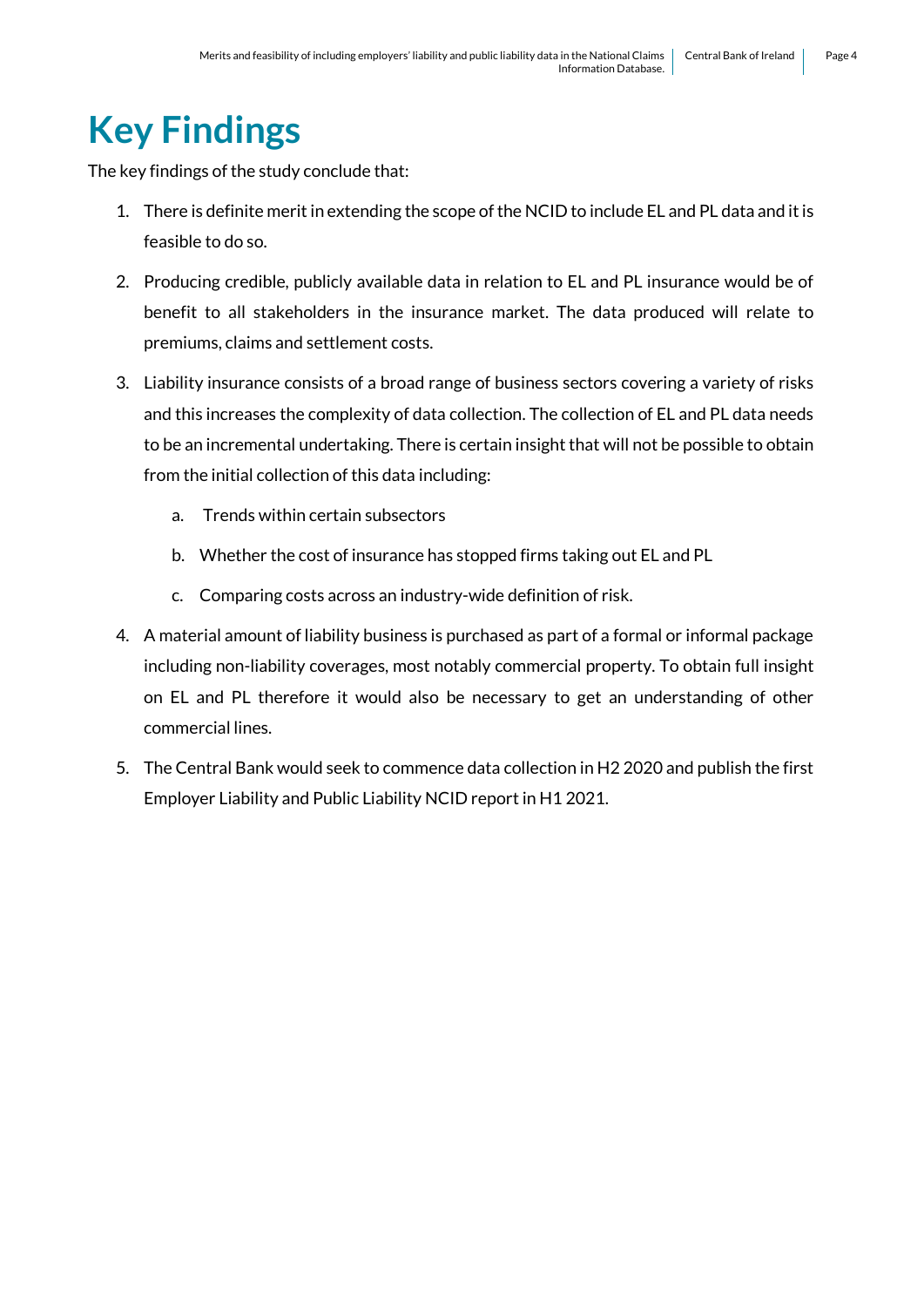# <span id="page-3-0"></span>**Key Findings**

The key findings of the study conclude that:

- 1. There is definite merit in extending the scope of the NCID to include EL and PL data and it is feasible to do so.
- 2. Producing credible, publicly available data in relation to EL and PL insurance would be of benefit to all stakeholders in the insurance market. The data produced will relate to premiums, claims and settlement costs.
- 3. Liability insurance consists of a broad range of business sectors covering a variety of risks and this increases the complexity of data collection. The collection of EL and PL data needs to be an incremental undertaking. There is certain insight that will not be possible to obtain from the initial collection of this data including:
	- a. Trends within certain subsectors
	- b. Whether the cost of insurance has stopped firms taking out EL and PL
	- c. Comparing costs across an industry-wide definition of risk.
- 4. A material amount of liability business is purchased as part of a formal or informal package including non-liability coverages, most notably commercial property. To obtain full insight on EL and PL therefore it would also be necessary to get an understanding of other commercial lines.
- 5. The Central Bank would seek to commence data collection in H2 2020 and publish the first Employer Liability and Public Liability NCID report in H1 2021.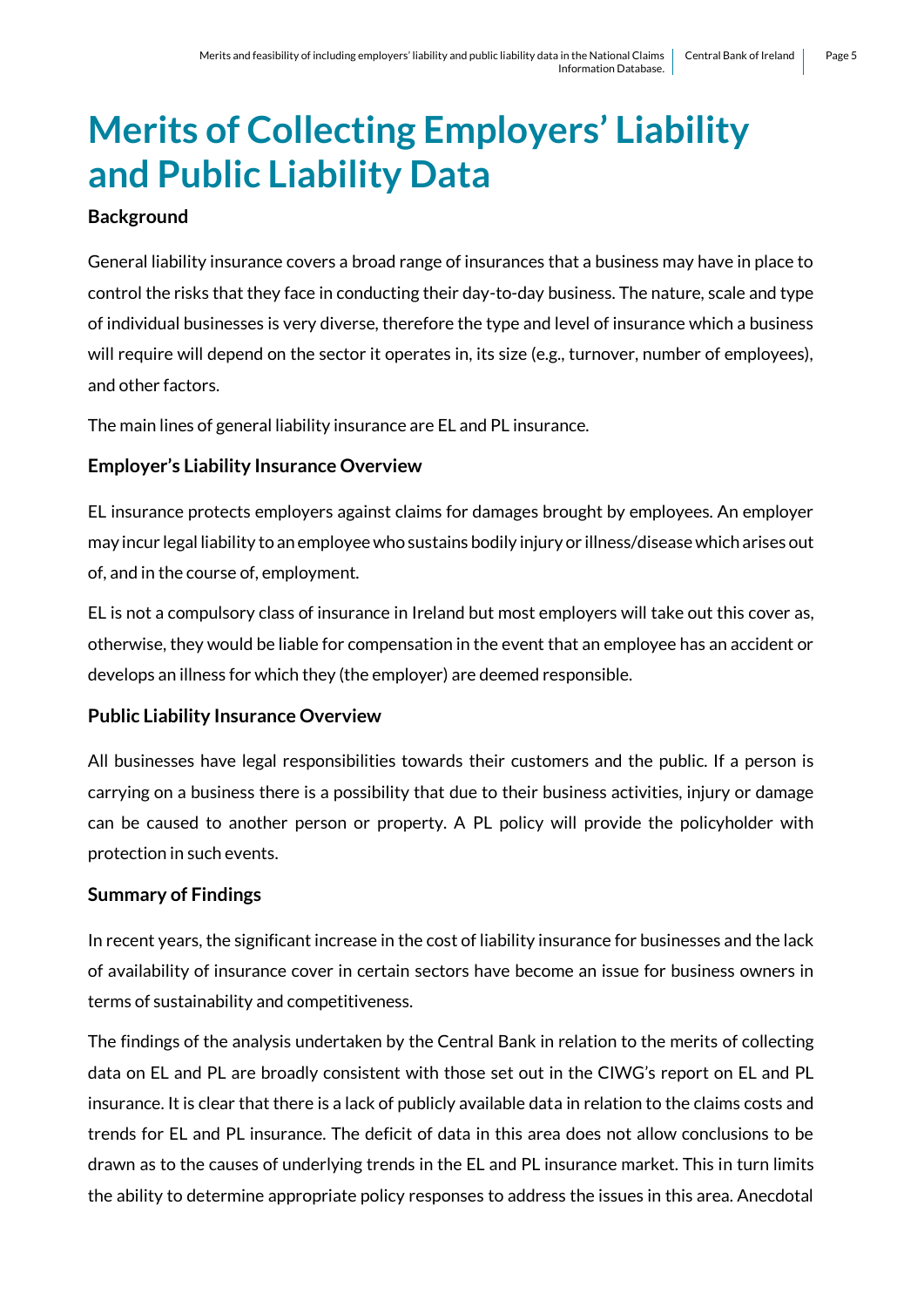# <span id="page-4-0"></span>**Merits of Collecting Employers' Liability and Public Liability Data**

### **Background**

General liability insurance covers a broad range of insurances that a business may have in place to control the risks that they face in conducting their day-to-day business. The nature, scale and type of individual businesses is very diverse, therefore the type and level of insurance which a business will require will depend on the sector it operates in, its size (e.g., turnover, number of employees), and other factors.

The main lines of general liability insurance are EL and PL insurance.

### **Employer's Liability Insurance Overview**

EL insurance protects employers against claims for damages brought by employees. An employer may incur legal liability to an employee who sustains bodily injury or illness/disease which arises out of, and in the course of, employment.

EL is not a compulsory class of insurance in Ireland but most employers will take out this cover as, otherwise, they would be liable for compensation in the event that an employee has an accident or develops an illness for which they (the employer) are deemed responsible.

### **Public Liability Insurance Overview**

All businesses have legal responsibilities towards their customers and the public. If a person is carrying on a business there is a possibility that due to their business activities, injury or damage can be caused to another person or property. A PL policy will provide the policyholder with protection in such events.

### **Summary of Findings**

In recent years, the significant increase in the cost of liability insurance for businesses and the lack of availability of insurance cover in certain sectors have become an issue for business owners in terms of sustainability and competitiveness.

The findings of the analysis undertaken by the Central Bank in relation to the merits of collecting data on EL and PL are broadly consistent with those set out in the CIWG's report on EL and PL insurance. It is clear that there is a lack of publicly available data in relation to the claims costs and trends for EL and PL insurance. The deficit of data in this area does not allow conclusions to be drawn as to the causes of underlying trends in the EL and PL insurance market. This in turn limits the ability to determine appropriate policy responses to address the issues in this area. Anecdotal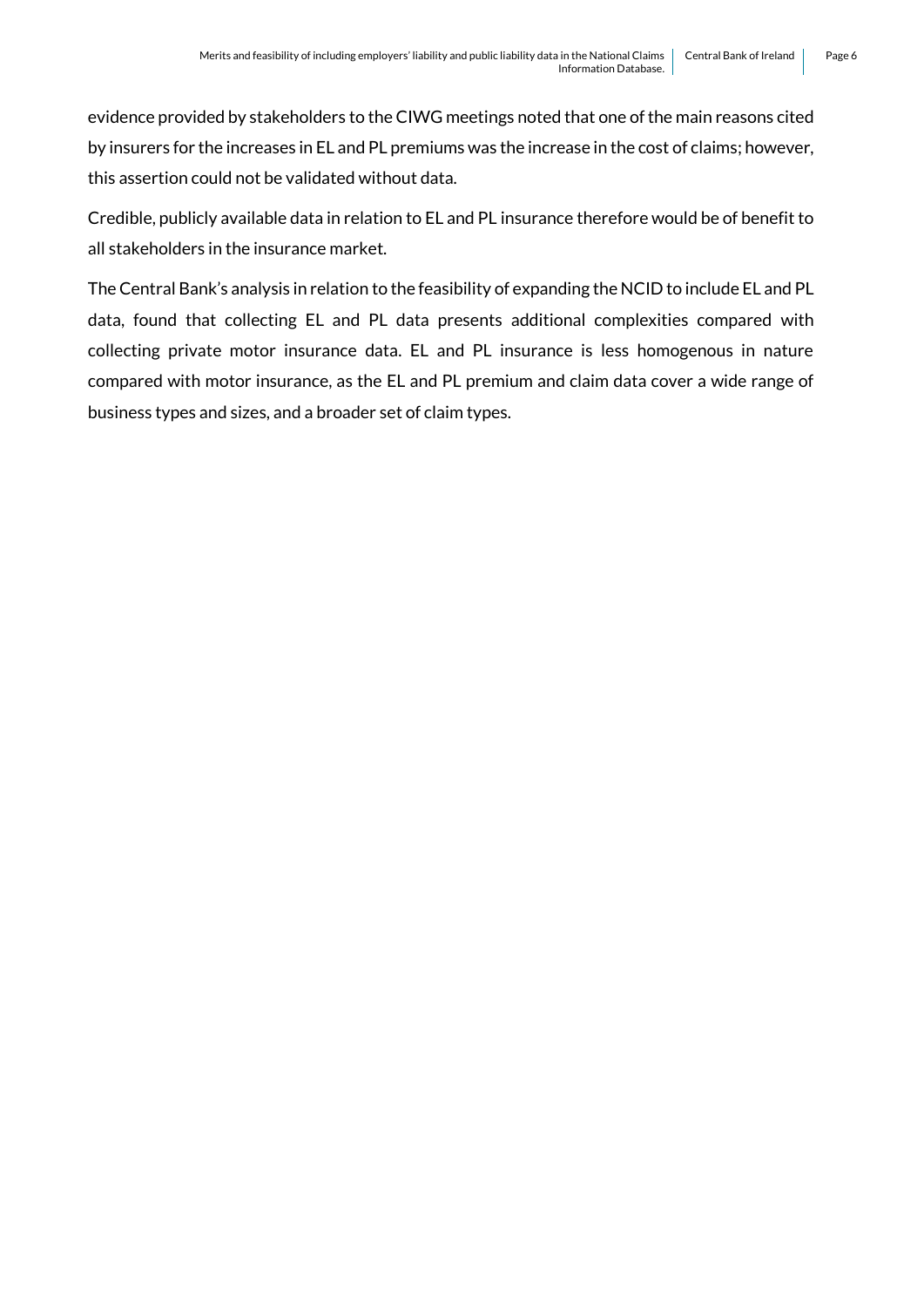evidence provided by stakeholders to the CIWG meetings noted that one of the main reasons cited by insurers for the increases in EL and PL premiums was the increase in the cost of claims; however, this assertion could not be validated without data.

Credible, publicly available data in relation to EL and PL insurance therefore would be of benefit to all stakeholders in the insurance market.

The Central Bank's analysis in relation to the feasibility of expanding the NCID to include EL and PL data, found that collecting EL and PL data presents additional complexities compared with collecting private motor insurance data. EL and PL insurance is less homogenous in nature compared with motor insurance, as the EL and PL premium and claim data cover a wide range of business types and sizes, and a broader set of claim types.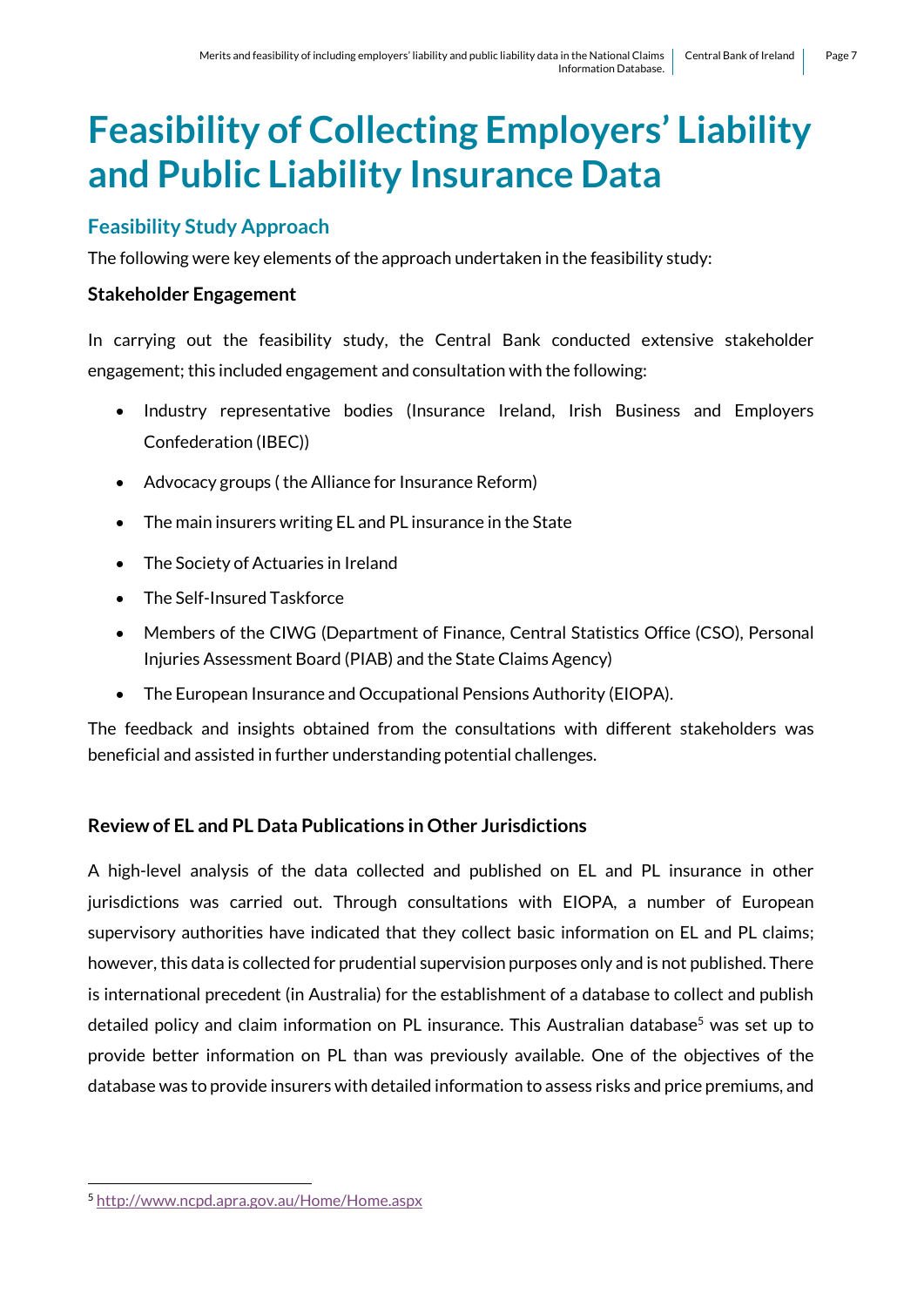# <span id="page-6-0"></span>**Feasibility of Collecting Employers' Liability and Public Liability Insurance Data**

# <span id="page-6-1"></span>**Feasibility Study Approach**

The following were key elements of the approach undertaken in the feasibility study:

#### **Stakeholder Engagement**

In carrying out the feasibility study, the Central Bank conducted extensive stakeholder engagement; this included engagement and consultation with the following:

- Industry representative bodies (Insurance Ireland, Irish Business and Employers Confederation (IBEC))
- Advocacy groups ( the Alliance for Insurance Reform)
- The main insurers writing EL and PL insurance in the State
- The Society of Actuaries in Ireland
- The Self-Insured Taskforce
- Members of the CIWG (Department of Finance, Central Statistics Office (CSO), Personal Injuries Assessment Board (PIAB) and the State Claims Agency)
- The European Insurance and Occupational Pensions Authority (EIOPA).

The feedback and insights obtained from the consultations with different stakeholders was beneficial and assisted in further understanding potential challenges.

# **Review of EL and PL Data Publications in Other Jurisdictions**

A high-level analysis of the data collected and published on EL and PL insurance in other jurisdictions was carried out. Through consultations with EIOPA, a number of European supervisory authorities have indicated that they collect basic information on EL and PL claims; however, this data is collected for prudential supervision purposes only and is not published. There is international precedent (in Australia) for the establishment of a database to collect and publish detailed policy and claim information on PL insurance. This Australian database<sup>5</sup> was set up to provide better information on PL than was previously available. One of the objectives of the database was to provide insurers with detailed information to assess risks and price premiums, and

1

<sup>5</sup> <http://www.ncpd.apra.gov.au/Home/Home.aspx>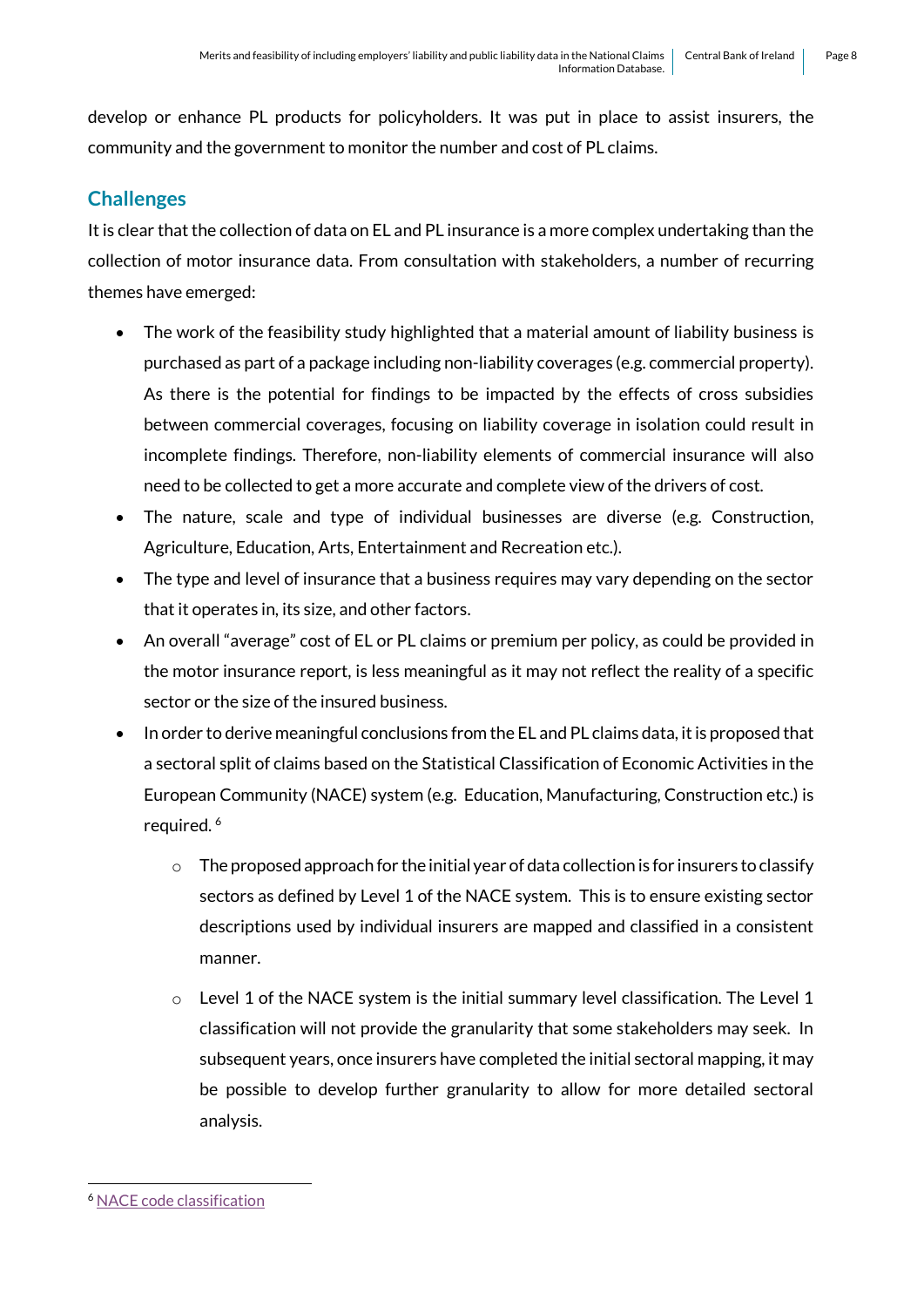develop or enhance PL products for policyholders. It was put in place to assist insurers, the community and the government to monitor the number and cost of PL claims.

# <span id="page-7-0"></span>**Challenges**

It is clear that the collection of data on EL and PL insurance is a more complex undertaking than the collection of motor insurance data. From consultation with stakeholders, a number of recurring themes have emerged:

- The work of the feasibility study highlighted that a material amount of liability business is purchased as part of a package including non-liability coverages (e.g. commercial property). As there is the potential for findings to be impacted by the effects of cross subsidies between commercial coverages, focusing on liability coverage in isolation could result in incomplete findings. Therefore, non-liability elements of commercial insurance will also need to be collected to get a more accurate and complete view of the drivers of cost.
- The nature, scale and type of individual businesses are diverse (e.g. Construction, Agriculture, Education, Arts, Entertainment and Recreation etc.).
- The type and level of insurance that a business requires may vary depending on the sector that it operates in, its size, and other factors.
- An overall "average" cost of EL or PL claims or premium per policy, as could be provided in the motor insurance report, is less meaningful as it may not reflect the reality of a specific sector or the size of the insured business.
- In order to derive meaningful conclusions from the EL and PL claims data, it is proposed that a sectoral split of claims based on the Statistical Classification of Economic Activities in the European Community (NACE) system (e.g. Education, Manufacturing, Construction etc.) is required.<sup>6</sup>
	- $\circ$  The proposed approach for the initial year of data collection is for insurers to classify sectors as defined by Level 1 of the NACE system. This is to ensure existing sector descriptions used by individual insurers are mapped and classified in a consistent manner.
	- $\circ$  Level 1 of the NACE system is the initial summary level classification. The Level 1 classification will not provide the granularity that some stakeholders may seek. In subsequent years, once insurers have completed the initial sectoral mapping, it may be possible to develop further granularity to allow for more detailed sectoral analysis.

1

<sup>6</sup> [NACE code classification](https://ec.europa.eu/eurostat/ramon/nomenclatures/index.cfm?TargetUrl=LST_NOM_DTL&StrNom=NACE_REV2&StrLanguageCode=EN&IntPcKey=&StrLayoutCode=HIERARCHIC&CFID=1110191&CFTOKEN=3ca0f6dadb71d377-1F2DE4F0-F7BF-BCAE-31C18C386EA88F92&jsessionid=f900daad75c14b465532m)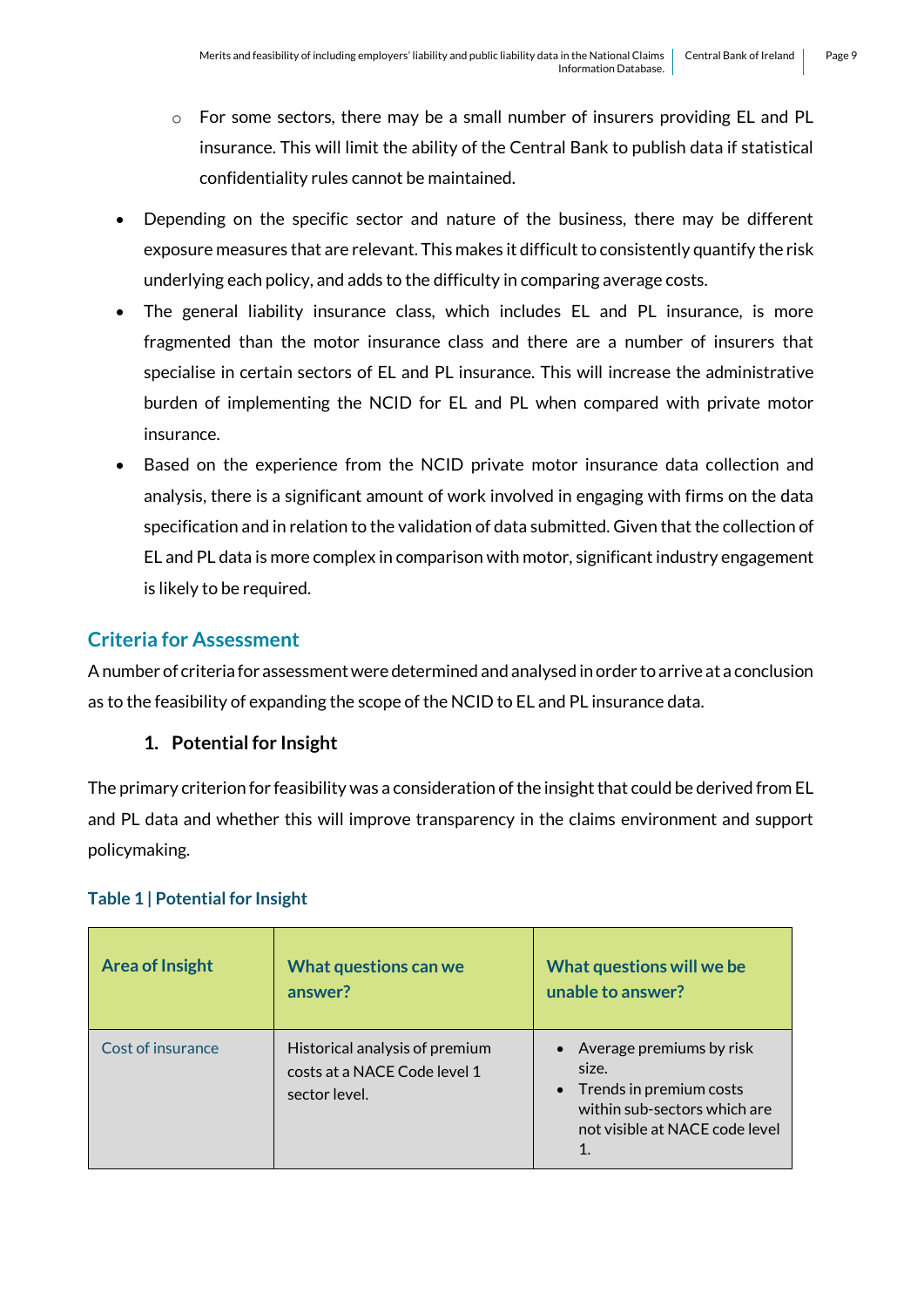- o For some sectors, there may be a small number of insurers providing EL and PL insurance. This will limit the ability of the Central Bank to publish data if statistical confidentiality rules cannot be maintained.
- Depending on the specific sector and nature of the business, there may be different exposure measures that are relevant. This makes it difficult to consistently quantify the risk underlying each policy, and adds to the difficulty in comparing average costs.
- The general liability insurance class, which includes EL and PL insurance, is more fragmented than the motor insurance class and there are a number of insurers that specialise in certain sectors of EL and PL insurance. This will increase the administrative burden of implementing the NCID for EL and PL when compared with private motor insurance.
- Based on the experience from the NCID private motor insurance data collection and analysis, there is a significant amount of work involved in engaging with firms on the data specification and in relation to the validation of data submitted. Given that the collection of EL and PL data is more complex in comparison with motor, significant industry engagement is likely to be required.

# <span id="page-8-0"></span>**Criteria for Assessment**

A number of criteria for assessment were determined and analysed in order to arrive at a conclusion as to the feasibility of expanding the scope of the NCID to EL and PL insurance data.

### **1. Potential for Insight**

The primary criterion for feasibility was a consideration of the insight that could be derived from EL and PL data and whether this will improve transparency in the claims environment and support policymaking.

### **Table 1 | Potential for Insight**

| <b>Area of Insight</b> | What questions can we<br>answer?                                                | What questions will we be<br>unable to answer?                                                                                                   |
|------------------------|---------------------------------------------------------------------------------|--------------------------------------------------------------------------------------------------------------------------------------------------|
| Cost of insurance      | Historical analysis of premium<br>costs at a NACE Code level 1<br>sector level. | • Average premiums by risk<br>size.<br>Trends in premium costs<br>within sub-sectors which are<br>not visible at NACE code level<br>$\mathbf{1}$ |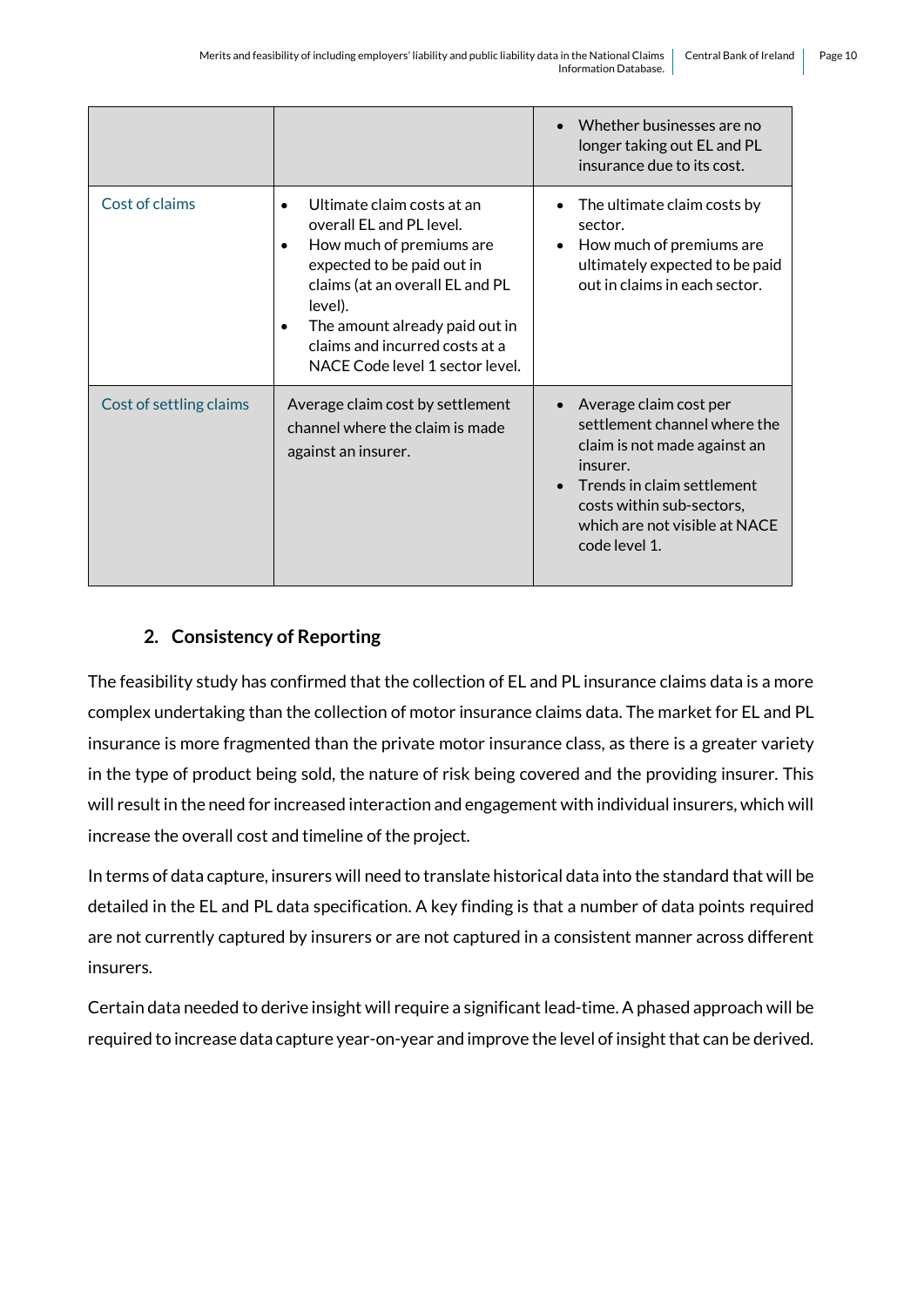|                         |                                                                                                                                                                                                                                                                       | Whether businesses are no<br>$\bullet$<br>longer taking out EL and PL<br>insurance due to its cost.                                                                                                                          |
|-------------------------|-----------------------------------------------------------------------------------------------------------------------------------------------------------------------------------------------------------------------------------------------------------------------|------------------------------------------------------------------------------------------------------------------------------------------------------------------------------------------------------------------------------|
| Cost of claims          | Ultimate claim costs at an<br>overall EL and PL level.<br>How much of premiums are<br>expected to be paid out in<br>claims (at an overall EL and PL<br>level).<br>The amount already paid out in<br>claims and incurred costs at a<br>NACE Code level 1 sector level. | The ultimate claim costs by<br>sector.<br>How much of premiums are<br>$\bullet$<br>ultimately expected to be paid<br>out in claims in each sector.                                                                           |
| Cost of settling claims | Average claim cost by settlement<br>channel where the claim is made<br>against an insurer.                                                                                                                                                                            | Average claim cost per<br>$\bullet$<br>settlement channel where the<br>claim is not made against an<br>insurer.<br>Trends in claim settlement<br>costs within sub-sectors,<br>which are not visible at NACE<br>code level 1. |

# **2. Consistency of Reporting**

The feasibility study has confirmed that the collection of EL and PL insurance claims data is a more complex undertaking than the collection of motor insurance claims data. The market for EL and PL insurance is more fragmented than the private motor insurance class, as there is a greater variety in the type of product being sold, the nature of risk being covered and the providing insurer. This will result in the need for increased interaction and engagement with individual insurers, which will increase the overall cost and timeline of the project.

In terms of data capture, insurers will need to translate historical data into the standard that will be detailed in the EL and PL data specification. A key finding is that a number of data points required are not currently captured by insurers or are not captured in a consistent manner across different insurers.

Certain data needed to derive insight will require a significant lead-time. A phased approach will be required to increase data capture year-on-year and improve the level of insight that can be derived.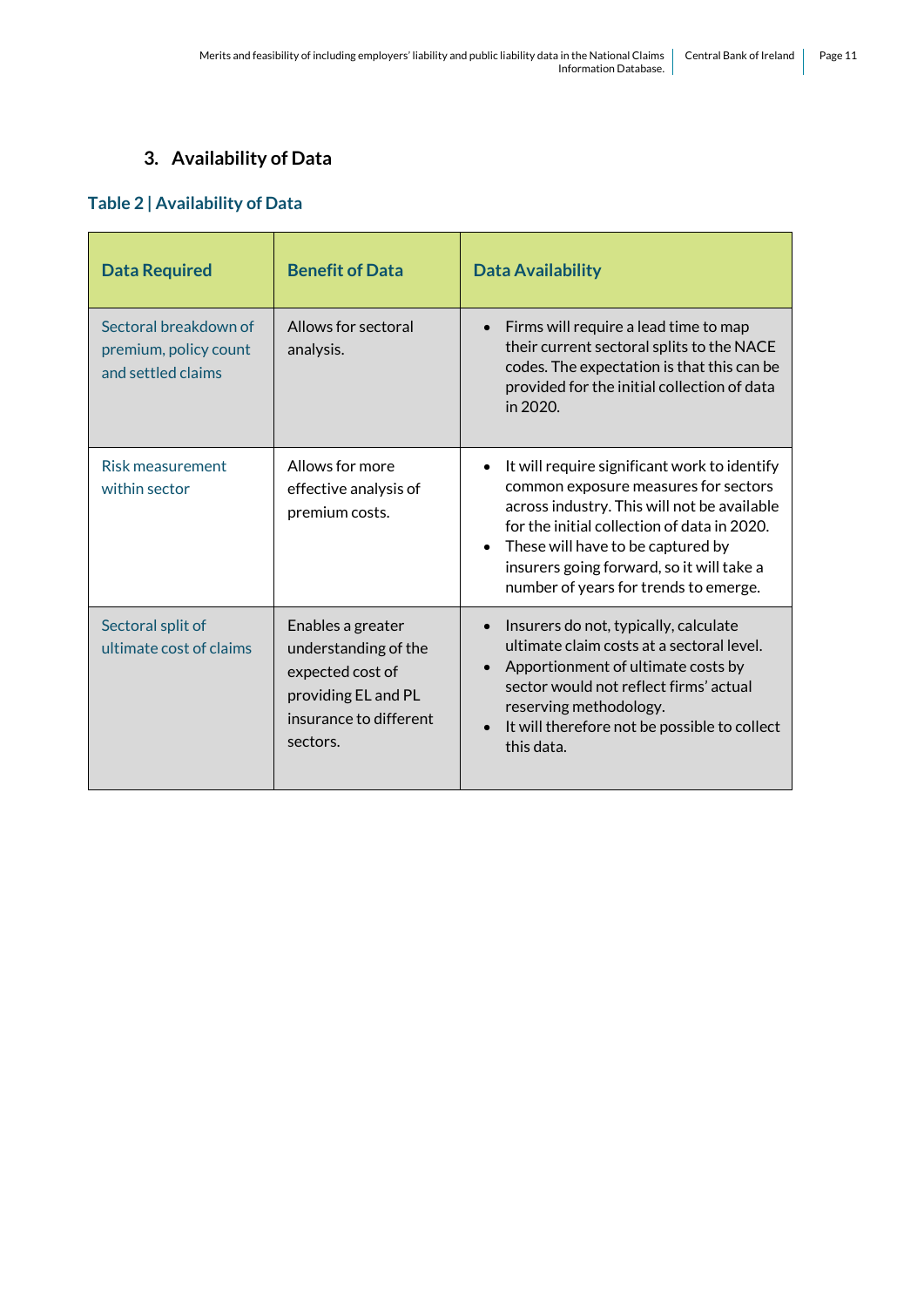# **3. Availability of Data**

### **Table 2 | Availability of Data**

| <b>Data Required</b>                                                 | <b>Benefit of Data</b>                                                                                                     | <b>Data Availability</b>                                                                                                                                                                                                                                                                                                                |
|----------------------------------------------------------------------|----------------------------------------------------------------------------------------------------------------------------|-----------------------------------------------------------------------------------------------------------------------------------------------------------------------------------------------------------------------------------------------------------------------------------------------------------------------------------------|
| Sectoral breakdown of<br>premium, policy count<br>and settled claims | Allows for sectoral<br>analysis.                                                                                           | Firms will require a lead time to map<br>$\bullet$<br>their current sectoral splits to the NACE<br>codes. The expectation is that this can be<br>provided for the initial collection of data<br>in $2020$ .                                                                                                                             |
| Risk measurement<br>within sector                                    | Allows for more<br>effective analysis of<br>premium costs.                                                                 | It will require significant work to identify<br>$\bullet$<br>common exposure measures for sectors<br>across industry. This will not be available<br>for the initial collection of data in 2020.<br>These will have to be captured by<br>$\bullet$<br>insurers going forward, so it will take a<br>number of years for trends to emerge. |
| Sectoral split of<br>ultimate cost of claims                         | Enables a greater<br>understanding of the<br>expected cost of<br>providing EL and PL<br>insurance to different<br>sectors. | Insurers do not, typically, calculate<br>$\bullet$<br>ultimate claim costs at a sectoral level.<br>Apportionment of ultimate costs by<br>$\bullet$<br>sector would not reflect firms' actual<br>reserving methodology.<br>It will therefore not be possible to collect<br>$\bullet$<br>this data.                                       |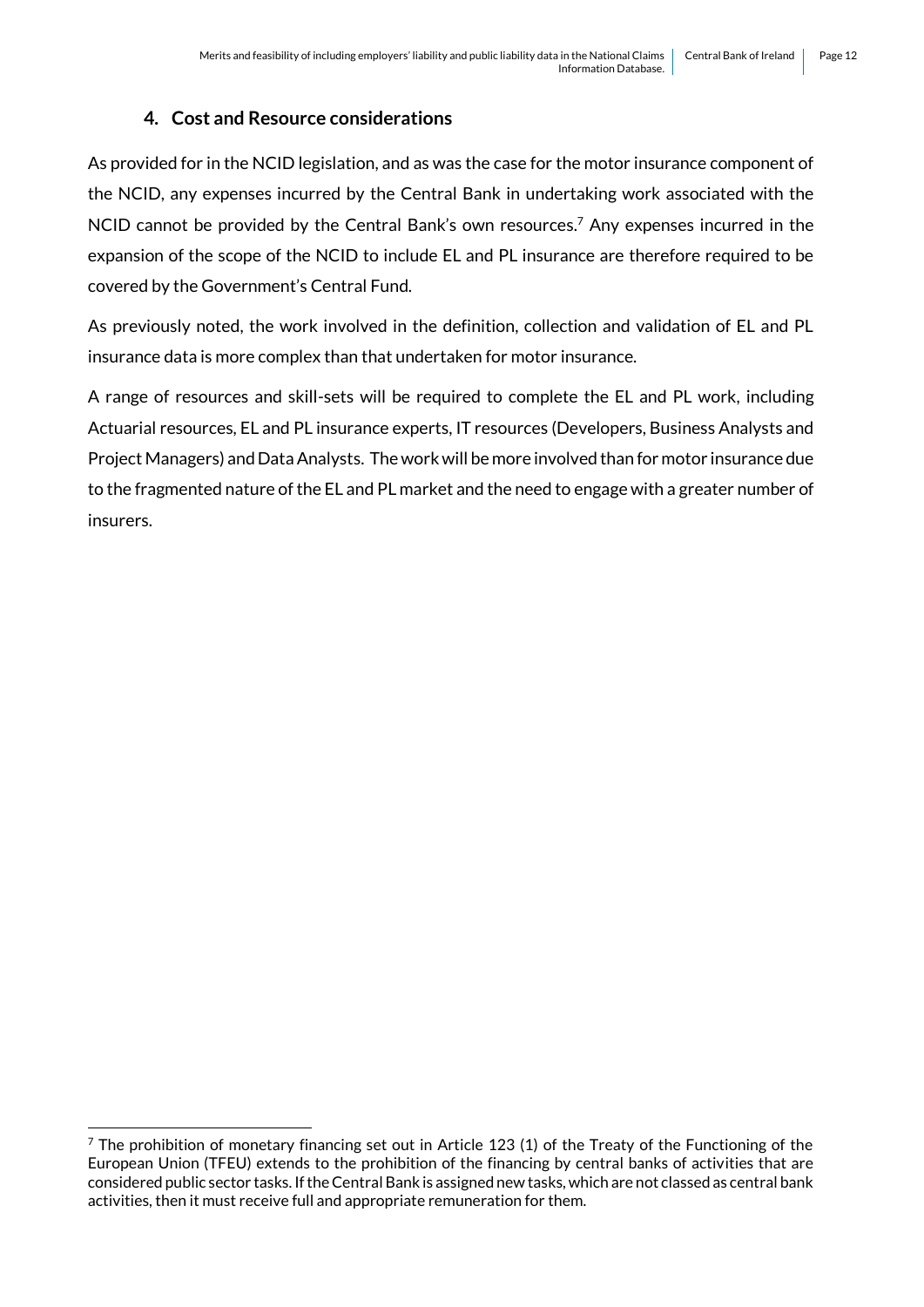# **4. Cost and Resource considerations**

As provided for in the NCID legislation, and as was the case for the motor insurance component of the NCID, any expenses incurred by the Central Bank in undertaking work associated with the NCID cannot be provided by the Central Bank's own resources.<sup>7</sup> Any expenses incurred in the expansion of the scope of the NCID to include EL and PL insurance are therefore required to be covered by the Government's Central Fund.

As previously noted, the work involved in the definition, collection and validation of EL and PL insurance data is more complex than that undertaken for motor insurance.

A range of resources and skill-sets will be required to complete the EL and PL work, including Actuarial resources, EL and PL insurance experts, IT resources (Developers, Business Analysts and Project Managers) and Data Analysts. The work will be more involved than for motor insurance due to the fragmented nature of the EL and PL market and the need to engage with a greater number of insurers.

1

 $7$  The prohibition of monetary financing set out in Article 123 (1) of the Treaty of the Functioning of the European Union (TFEU) extends to the prohibition of the financing by central banks of activities that are considered public sector tasks. If the Central Bank is assigned new tasks, which are not classed as central bank activities, then it must receive full and appropriate remuneration for them.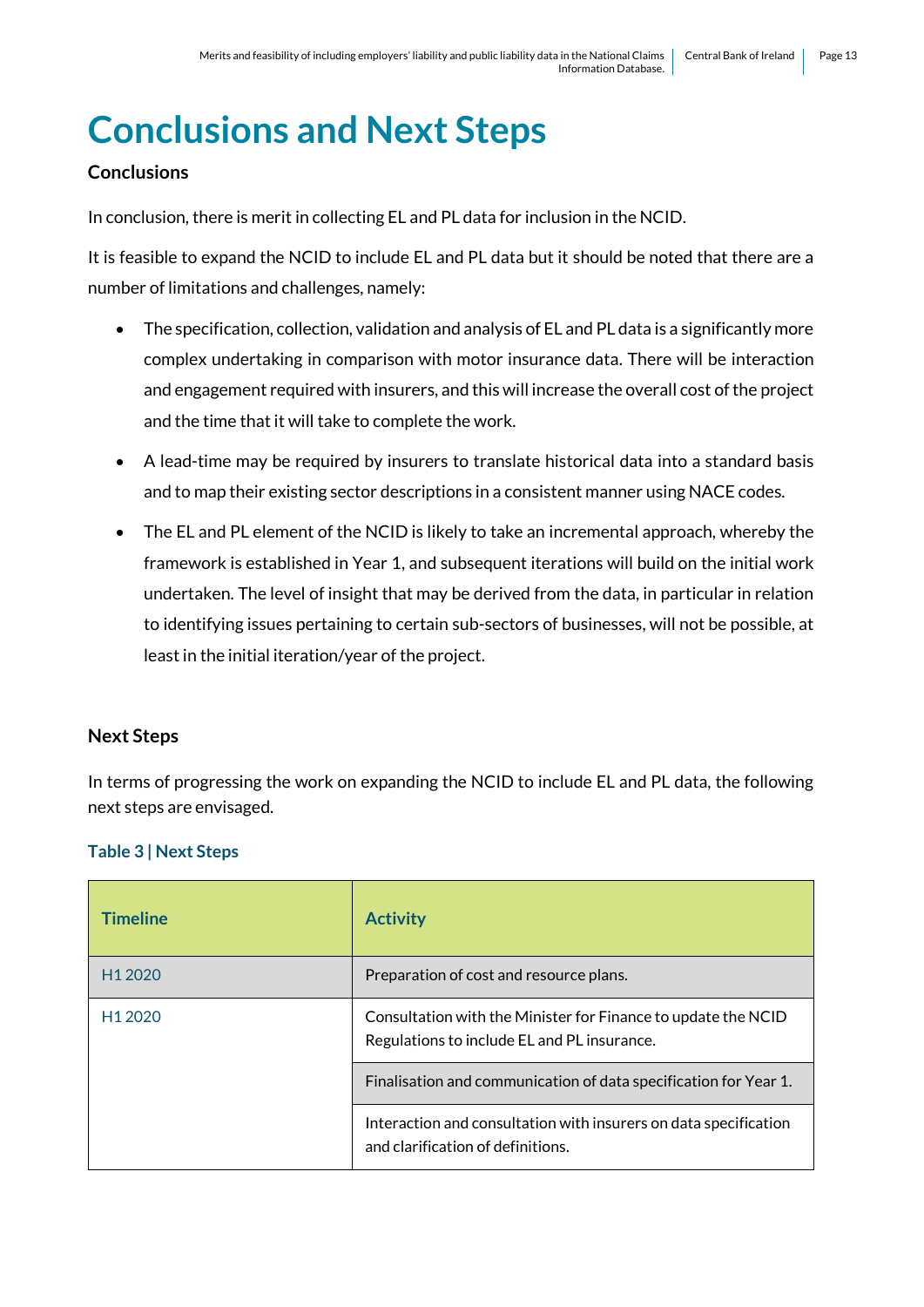# <span id="page-12-0"></span>**Conclusions and Next Steps**

# **Conclusions**

In conclusion, there is merit in collecting EL and PL data for inclusion in the NCID.

It is feasible to expand the NCID to include EL and PL data but it should be noted that there are a number of limitations and challenges, namely:

- The specification, collection, validation and analysis of EL and PL data is a significantly more complex undertaking in comparison with motor insurance data. There will be interaction and engagement required with insurers, and this will increase the overall cost of the project and the time that it will take to complete the work.
- A lead-time may be required by insurers to translate historical data into a standard basis and to map their existing sector descriptions in a consistent manner using NACE codes.
- The EL and PL element of the NCID is likely to take an incremental approach, whereby the framework is established in Year 1, and subsequent iterations will build on the initial work undertaken. The level of insight that may be derived from the data, in particular in relation to identifying issues pertaining to certain sub-sectors of businesses, will not be possible, at least in the initial iteration/year of the project.

### **Next Steps**

In terms of progressing the work on expanding the NCID to include EL and PL data, the following next steps are envisaged.

### **Table 3 | Next Steps**

| <b>Timeline</b>     | <b>Activity</b>                                                                                              |
|---------------------|--------------------------------------------------------------------------------------------------------------|
| H <sub>1</sub> 2020 | Preparation of cost and resource plans.                                                                      |
| H <sub>1</sub> 2020 | Consultation with the Minister for Finance to update the NCID<br>Regulations to include EL and PL insurance. |
|                     | Finalisation and communication of data specification for Year 1.                                             |
|                     | Interaction and consultation with insurers on data specification<br>and clarification of definitions.        |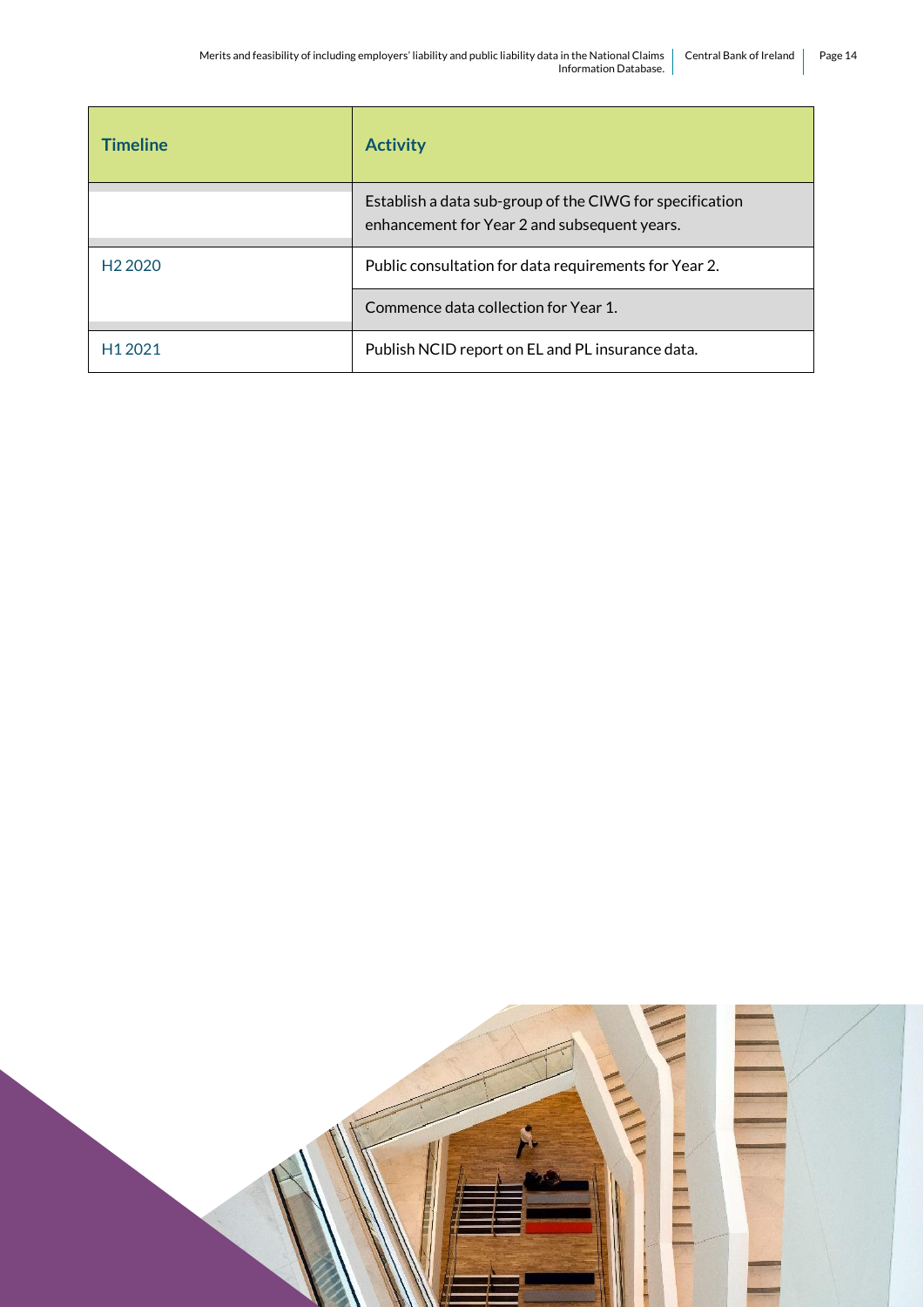| <b>Timeline</b>     | <b>Activity</b>                                                                                          |
|---------------------|----------------------------------------------------------------------------------------------------------|
|                     | Establish a data sub-group of the CIWG for specification<br>enhancement for Year 2 and subsequent years. |
| H <sub>2</sub> 2020 | Public consultation for data requirements for Year 2.                                                    |
|                     | Commence data collection for Year 1.                                                                     |
| H <sub>1</sub> 2021 | Publish NCID report on EL and PL insurance data.                                                         |